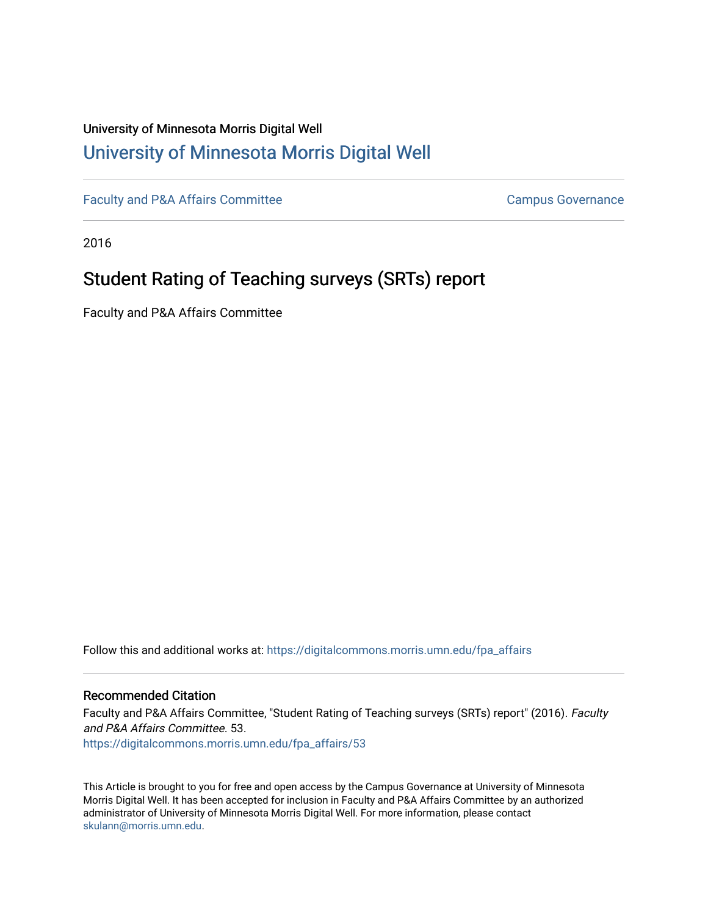## University of Minnesota Morris Digital Well [University of Minnesota Morris Digital Well](https://digitalcommons.morris.umn.edu/)

[Faculty and P&A Affairs Committee](https://digitalcommons.morris.umn.edu/fpa_affairs) **Campus Governance** Campus Governance

2016

# Student Rating of Teaching surveys (SRTs) report

Faculty and P&A Affairs Committee

Follow this and additional works at: [https://digitalcommons.morris.umn.edu/fpa\\_affairs](https://digitalcommons.morris.umn.edu/fpa_affairs?utm_source=digitalcommons.morris.umn.edu%2Ffpa_affairs%2F53&utm_medium=PDF&utm_campaign=PDFCoverPages)

#### Recommended Citation

Faculty and P&A Affairs Committee, "Student Rating of Teaching surveys (SRTs) report" (2016). Faculty and P&A Affairs Committee. 53. [https://digitalcommons.morris.umn.edu/fpa\\_affairs/53](https://digitalcommons.morris.umn.edu/fpa_affairs/53?utm_source=digitalcommons.morris.umn.edu%2Ffpa_affairs%2F53&utm_medium=PDF&utm_campaign=PDFCoverPages) 

This Article is brought to you for free and open access by the Campus Governance at University of Minnesota Morris Digital Well. It has been accepted for inclusion in Faculty and P&A Affairs Committee by an authorized administrator of University of Minnesota Morris Digital Well. For more information, please contact [skulann@morris.umn.edu.](mailto:skulann@morris.umn.edu)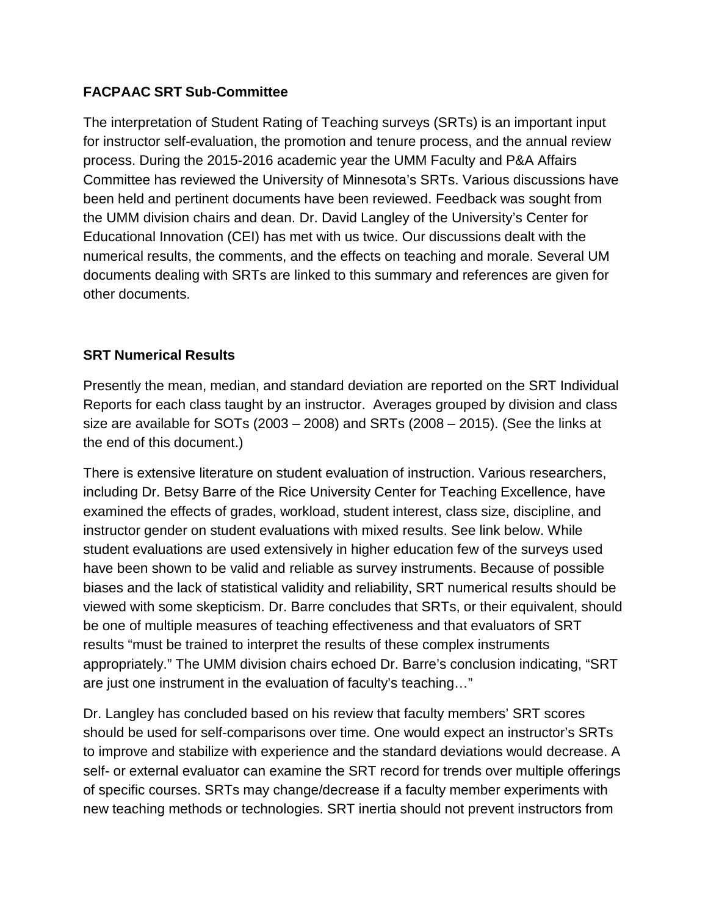#### **FACPAAC SRT Sub-Committee**

The interpretation of Student Rating of Teaching surveys (SRTs) is an important input for instructor self-evaluation, the promotion and tenure process, and the annual review process. During the 2015-2016 academic year the UMM Faculty and P&A Affairs Committee has reviewed the University of Minnesota's SRTs. Various discussions have been held and pertinent documents have been reviewed. Feedback was sought from the UMM division chairs and dean. Dr. David Langley of the University's Center for Educational Innovation (CEI) has met with us twice. Our discussions dealt with the numerical results, the comments, and the effects on teaching and morale. Several UM documents dealing with SRTs are linked to this summary and references are given for other documents.

#### **SRT Numerical Results**

Presently the mean, median, and standard deviation are reported on the SRT Individual Reports for each class taught by an instructor. Averages grouped by division and class size are available for SOTs (2003 – 2008) and SRTs (2008 – 2015). (See the links at the end of this document.)

There is extensive literature on student evaluation of instruction. Various researchers, including Dr. Betsy Barre of the Rice University Center for Teaching Excellence, have examined the effects of grades, workload, student interest, class size, discipline, and instructor gender on student evaluations with mixed results. See link below. While student evaluations are used extensively in higher education few of the surveys used have been shown to be valid and reliable as survey instruments. Because of possible biases and the lack of statistical validity and reliability, SRT numerical results should be viewed with some skepticism. Dr. Barre concludes that SRTs, or their equivalent, should be one of multiple measures of teaching effectiveness and that evaluators of SRT results "must be trained to interpret the results of these complex instruments appropriately." The UMM division chairs echoed Dr. Barre's conclusion indicating, "SRT are just one instrument in the evaluation of faculty's teaching…"

Dr. Langley has concluded based on his review that faculty members' SRT scores should be used for self-comparisons over time. One would expect an instructor's SRTs to improve and stabilize with experience and the standard deviations would decrease. A self- or external evaluator can examine the SRT record for trends over multiple offerings of specific courses. SRTs may change/decrease if a faculty member experiments with new teaching methods or technologies. SRT inertia should not prevent instructors from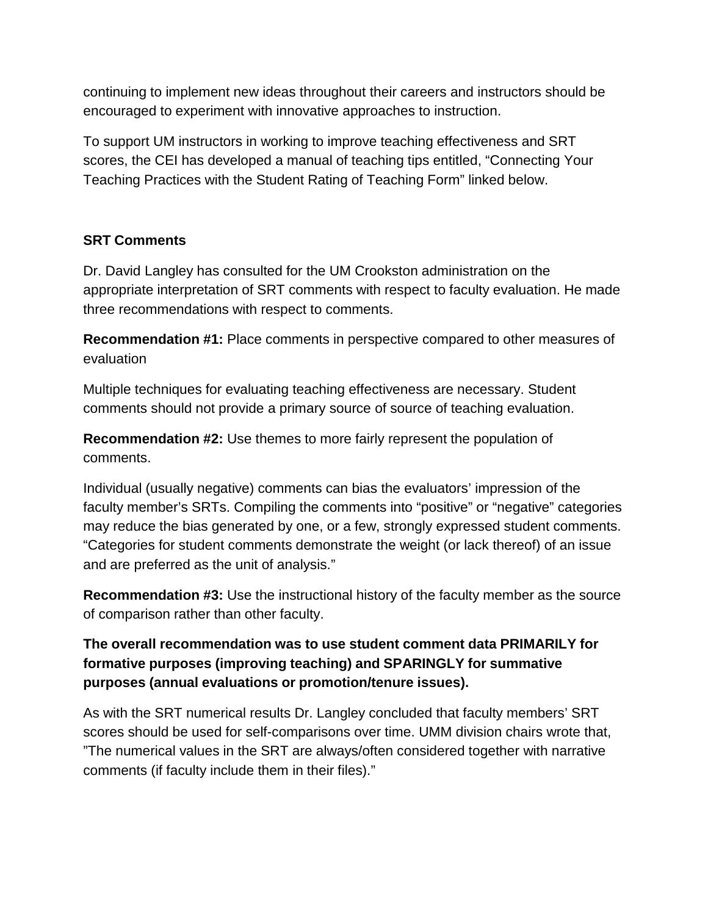continuing to implement new ideas throughout their careers and instructors should be encouraged to experiment with innovative approaches to instruction.

To support UM instructors in working to improve teaching effectiveness and SRT scores, the CEI has developed a manual of teaching tips entitled, "Connecting Your Teaching Practices with the Student Rating of Teaching Form" linked below.

#### **SRT Comments**

Dr. David Langley has consulted for the UM Crookston administration on the appropriate interpretation of SRT comments with respect to faculty evaluation. He made three recommendations with respect to comments.

**Recommendation #1:** Place comments in perspective compared to other measures of evaluation

Multiple techniques for evaluating teaching effectiveness are necessary. Student comments should not provide a primary source of source of teaching evaluation.

**Recommendation #2:** Use themes to more fairly represent the population of comments.

Individual (usually negative) comments can bias the evaluators' impression of the faculty member's SRTs. Compiling the comments into "positive" or "negative" categories may reduce the bias generated by one, or a few, strongly expressed student comments. "Categories for student comments demonstrate the weight (or lack thereof) of an issue and are preferred as the unit of analysis."

**Recommendation #3:** Use the instructional history of the faculty member as the source of comparison rather than other faculty.

### **The overall recommendation was to use student comment data PRIMARILY for formative purposes (improving teaching) and SPARINGLY for summative purposes (annual evaluations or promotion/tenure issues).**

As with the SRT numerical results Dr. Langley concluded that faculty members' SRT scores should be used for self-comparisons over time. UMM division chairs wrote that, "The numerical values in the SRT are always/often considered together with narrative comments (if faculty include them in their files)."